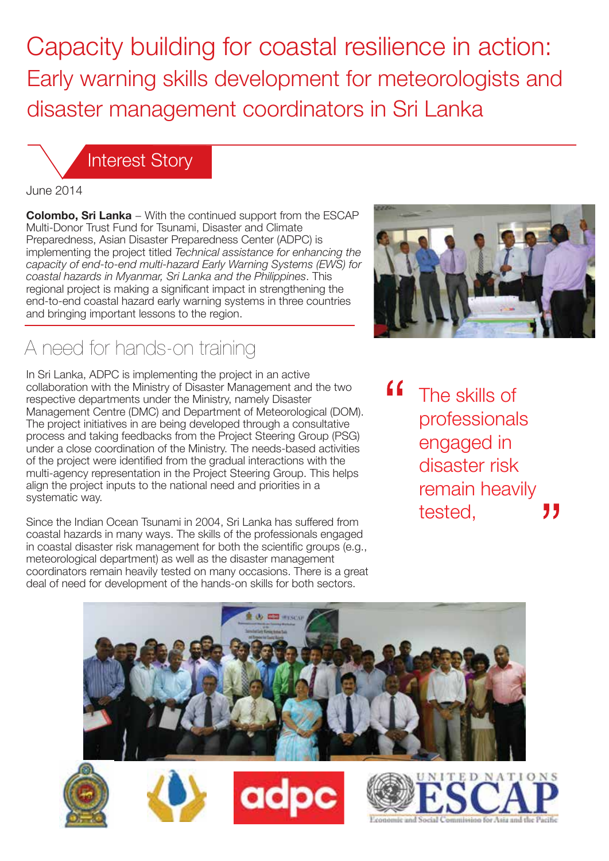Capacity building for coastal resilience in action: Early warning skills development for meteorologists and disaster management coordinators in Sri Lanka

Interest Story

#### June 2014

**Colombo, Sri Lanka** − With the continued support from the ESCAP Multi-Donor Trust Fund for Tsunami, Disaster and Climate Preparedness, Asian Disaster Preparedness Center (ADPC) is implementing the project titled *Technical assistance for enhancing the capacity of end-to-end multi-hazard Early Warning Systems (EWS) for coastal hazards in Myanmar, Sri Lanka and the Philippines*. This regional project is making a significant impact in strengthening the end-to-end coastal hazard early warning systems in three countries and bringing important lessons to the region.

# A need for hands-on training

In Sri Lanka, ADPC is implementing the project in an active collaboration with the Ministry of Disaster Management and the two respective departments under the Ministry, namely Disaster Management Centre (DMC) and Department of Meteorological (DOM). The project initiatives in are being developed through a consultative process and taking feedbacks from the Project Steering Group (PSG) under a close coordination of the Ministry. The needs-based activities of the project were identified from the gradual interactions with the multi-agency representation in the Project Steering Group. This helps align the project inputs to the national need and priorities in a systematic way.

Since the Indian Ocean Tsunami in 2004, Sri Lanka has suffered from coastal hazards in many ways. The skills of the professionals engaged in coastal disaster risk management for both the scientific groups (e.g., meteorological department) as well as the disaster management coordinators remain heavily tested on many occasions. There is a great deal of need for development of the hands-on skills for both sectors.



 $\epsilon$ The skills of professionals engaged in disaster risk remain heavily tested,